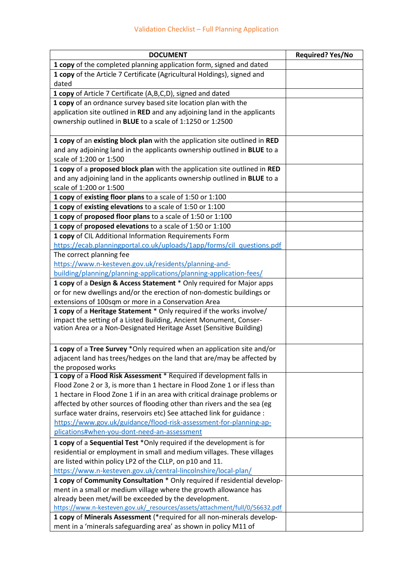| <b>DOCUMENT</b>                                                             | <b>Required? Yes/No</b> |
|-----------------------------------------------------------------------------|-------------------------|
| 1 copy of the completed planning application form, signed and dated         |                         |
| 1 copy of the Article 7 Certificate (Agricultural Holdings), signed and     |                         |
| dated                                                                       |                         |
| 1 copy of Article 7 Certificate (A,B,C,D), signed and dated                 |                         |
| 1 copy of an ordnance survey based site location plan with the              |                         |
| application site outlined in RED and any adjoining land in the applicants   |                         |
| ownership outlined in BLUE to a scale of 1:1250 or 1:2500                   |                         |
|                                                                             |                         |
| 1 copy of an existing block plan with the application site outlined in RED  |                         |
| and any adjoining land in the applicants ownership outlined in BLUE to a    |                         |
| scale of 1:200 or 1:500                                                     |                         |
| 1 copy of a proposed block plan with the application site outlined in RED   |                         |
| and any adjoining land in the applicants ownership outlined in BLUE to a    |                         |
| scale of 1:200 or 1:500                                                     |                         |
| 1 copy of existing floor plans to a scale of 1:50 or 1:100                  |                         |
| 1 copy of existing elevations to a scale of 1:50 or 1:100                   |                         |
| 1 copy of proposed floor plans to a scale of 1:50 or 1:100                  |                         |
| 1 copy of proposed elevations to a scale of 1:50 or 1:100                   |                         |
| 1 copy of CIL Additional Information Requirements Form                      |                         |
| https://ecab.planningportal.co.uk/uploads/1app/forms/cil questions.pdf      |                         |
| The correct planning fee                                                    |                         |
| https://www.n-kesteven.gov.uk/residents/planning-and-                       |                         |
| building/planning/planning-applications/planning-application-fees/          |                         |
| 1 copy of a Design & Access Statement * Only required for Major apps        |                         |
| or for new dwellings and/or the erection of non-domestic buildings or       |                         |
| extensions of 100sqm or more in a Conservation Area                         |                         |
| 1 copy of a Heritage Statement * Only required if the works involve/        |                         |
| impact the setting of a Listed Building, Ancient Monument, Conser-          |                         |
| vation Area or a Non-Designated Heritage Asset (Sensitive Building)         |                         |
|                                                                             |                         |
| 1 copy of a Tree Survey *Only required when an application site and/or      |                         |
| adjacent land has trees/hedges on the land that are/may be affected by      |                         |
| the proposed works                                                          |                         |
| 1 copy of a Flood Risk Assessment * Required if development falls in        |                         |
| Flood Zone 2 or 3, is more than 1 hectare in Flood Zone 1 or if less than   |                         |
| 1 hectare in Flood Zone 1 if in an area with critical drainage problems or  |                         |
| affected by other sources of flooding other than rivers and the sea (eg     |                         |
| surface water drains, reservoirs etc) See attached link for guidance :      |                         |
| https://www.gov.uk/guidance/flood-risk-assessment-for-planning-ap-          |                         |
| plications#when-you-dont-need-an-assessment                                 |                         |
| 1 copy of a Sequential Test *Only required if the development is for        |                         |
| residential or employment in small and medium villages. These villages      |                         |
| are listed within policy LP2 of the CLLP, on p10 and 11.                    |                         |
| https://www.n-kesteven.gov.uk/central-lincolnshire/local-plan/              |                         |
| 1 copy of Community Consultation * Only required if residential develop-    |                         |
| ment in a small or medium village where the growth allowance has            |                         |
| already been met/will be exceeded by the development.                       |                         |
| https://www.n-kesteven.gov.uk/ resources/assets/attachment/full/0/56632.pdf |                         |
| 1 copy of Minerals Assessment (*required for all non-minerals develop-      |                         |
| ment in a 'minerals safeguarding area' as shown in policy M11 of            |                         |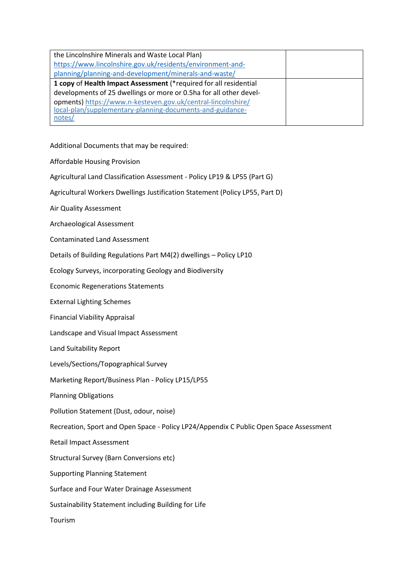| the Lincolnshire Minerals and Waste Local Plan)                    |  |
|--------------------------------------------------------------------|--|
| https://www.lincolnshire.gov.uk/residents/environment-and-         |  |
| planning/planning-and-development/minerals-and-waste/              |  |
| 1 copy of Health Impact Assessment (*required for all residential  |  |
| developments of 25 dwellings or more or 0.5ha for all other devel- |  |
| opments) https://www.n-kesteven.gov.uk/central-lincolnshire/       |  |
| local-plan/supplementary-planning-documents-and-guidance-          |  |
| notes/                                                             |  |

Additional Documents that may be required:

Affordable Housing Provision

Agricultural Land Classification Assessment - Policy LP19 & LP55 (Part G)

Agricultural Workers Dwellings Justification Statement (Policy LP55, Part D)

Air Quality Assessment

Archaeological Assessment

Contaminated Land Assessment

Details of Building Regulations Part M4(2) dwellings – Policy LP10

Ecology Surveys, incorporating Geology and Biodiversity

Economic Regenerations Statements

External Lighting Schemes

Financial Viability Appraisal

Landscape and Visual Impact Assessment

Land Suitability Report

Levels/Sections/Topographical Survey

Marketing Report/Business Plan - Policy LP15/LP55

Planning Obligations

Pollution Statement (Dust, odour, noise)

Recreation, Sport and Open Space - Policy LP24/Appendix C Public Open Space Assessment

Retail Impact Assessment

Structural Survey (Barn Conversions etc)

Supporting Planning Statement

Surface and Four Water Drainage Assessment

Sustainability Statement including Building for Life

Tourism